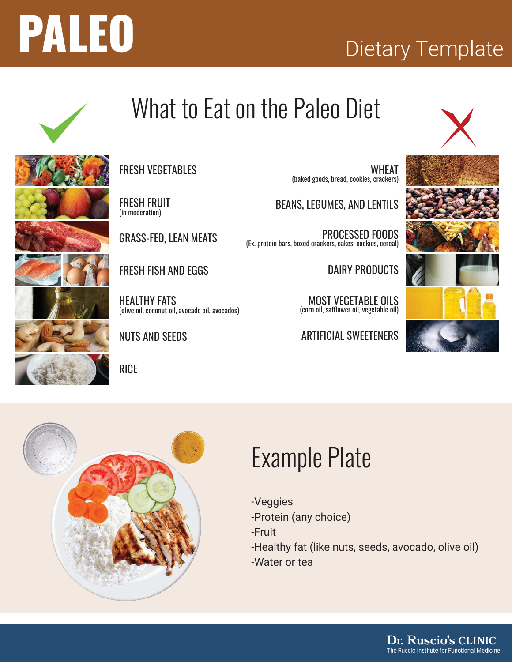



## What to Eat on the Paleo Diet



FRESH FRUIT (in moderation)

GRASS-FED, LEAN MEATS

(olive oil, coconut oil, avocado oil, avocados)

FRESH FISH AND EGGS

HEALTHY FATS

NUTS AND SEEDS

**RICE** 

WHEAT (baked goods, bread, cookies, crackers)

BEANS, LEGUMES, AND LENTILS

PROCESSED FOODS (Ex. protein bars, boxed crackers, cakes, cookies, cereal)

DAIRY PRODUCTS

MOST VEGETABLE OILS (corn oil, safflower oil, vegetable oil)

ARTIFICIAL SWEETENERS





### Example Plate

- -Veggies
- -Protein (any choice)
- -Fruit
- -Healthy fat (like nuts, seeds, avocado, olive oil)
- -Water or tea



Dr. Ruscio's CLINIC The Ruscio Institute for Functional Medicine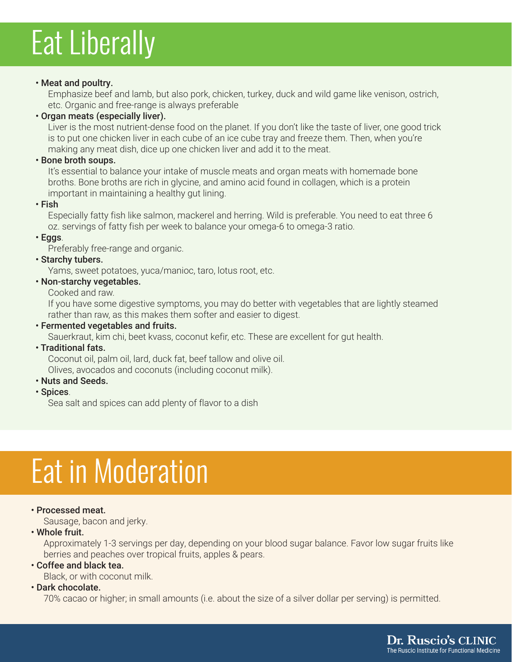# Eat Liberally

#### • Meat and poultry.

Emphasize beef and lamb, but also pork, chicken, turkey, duck and wild game like venison, ostrich, etc. Organic and free-range is always preferable

#### **· Organ meats (especially liver).**

Liver is the most nutrient-dense food on the planet. If you don't like the taste of liver, one good trick is to put one chicken liver in each cube of an ice cube tray and freeze them. Then, when you're making any meat dish, dice up one chicken liver and add it to the meat.

#### **· Bone broth soups.**

It's essential to balance your intake of muscle meats and organ meats with homemade bone broths. Bone broths are rich in glycine, and amino acid found in collagen, which is a protein important in maintaining a healthy gut lining.

 $\cdot$  Fish

Especially fatty fish like salmon, mackerel and herring. Wild is preferable. You need to eat three 6 oz. servings of fatty fish per week to balance your omega-6 to omega-3 ratio.

 $\cdot$  Eggs.

Preferably free-range and organic.

#### **· Starchy tubers.**

Yams, sweet potatoes, yuca/manioc, taro, lotus root, etc.

#### • Non-starchy vegetables.

Cooked and raw.

If you have some digestive symptoms, you may do better with vegetables that are lightly steamed rather than raw, as this makes them softer and easier to digest.

#### **EXEC** Fermented vegetables and fruits.

Sauerkraut, kim chi, beet kvass, coconut kefir, etc. These are excellent for gut health.

#### **· Traditional fats.**

Coconut oil, palm oil, lard, duck fat, beef tallow and olive oil. Olives, avocados and coconuts (including coconut milk).

- **· Nuts and Seeds.**
- · Spices.

Sea salt and spices can add plenty of flavor to a dish

## Eat in Moderation

#### **· Processed meat.**

Sausage, bacon and jerky.

#### $\cdot$  Whole fruit.

Approximately 1-3 servings per day, depending on your blood sugar balance. Favor low sugar fruits like berries and peaches over tropical fruits, apples & pears.

#### **Coffee and black tea.**

Black, or with coconut milk.

#### **· Dark chocolate.**

70% cacao or higher; in small amounts (i.e. about the size of a silver dollar per serving) is permitted.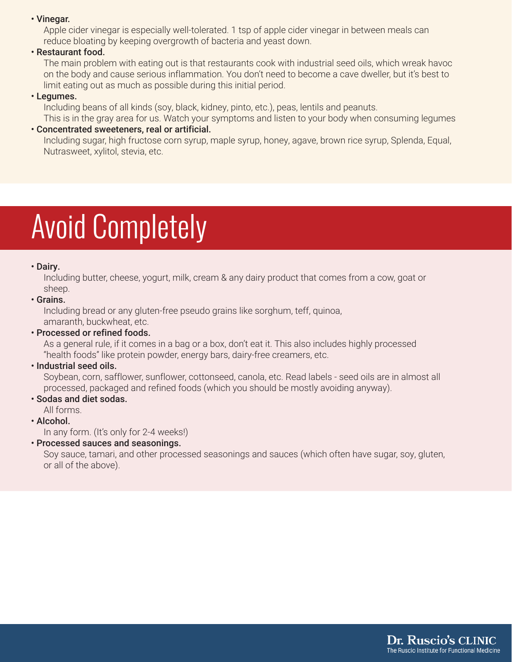#### • Vinegar.

Apple cider vinegar is especially well-tolerated. 1 tsp of apple cider vinegar in between meals can reduce bloating by keeping overgrowth of bacteria and yeast down.

#### **· Restaurant food.**

The main problem with eating out is that restaurants cook with industrial seed oils, which wreak havoc on the body and cause serious inflammation. You don't need to become a cave dweller, but it's best to limit eating out as much as possible during this initial period.

#### **· Legumes.**

Including beans of all kinds (soy, black, kidney, pinto, etc.), peas, lentils and peanuts. This is in the gray area for us. Watch your symptoms and listen to your body when consuming legumes

#### ï Concentrated sweeteners, real or artificial.

Including sugar, high fructose corn syrup, maple syrup, honey, agave, brown rice syrup, Splenda, Equal, Nutrasweet, xylitol, stevia, etc.

## Avoid Completely

#### • Dairy.

Including butter, cheese, yogurt, milk, cream & any dairy product that comes from a cow, goat or sheep.

#### **· Grains.**

Including bread or any gluten-free pseudo grains like sorghum, teff, quinoa, amaranth, buckwheat, etc.

#### **· Processed or refined foods.**

As a general rule, if it comes in a bag or a box, don't eat it. This also includes highly processed "health foods" like protein powder, energy bars, dairy-free creamers, etc.

#### **· Industrial seed oils.**

Soybean, corn, safflower, sunflower, cottonseed, canola, etc. Read labels - seed oils are in almost all processed, packaged and refined foods (which you should be mostly avoiding anyway).

#### **Sodas and diet sodas.**

All forms.

#### · Alcohol.

In any form. (It's only for 2-4 weeks!)

#### **· Processed sauces and seasonings.**

Soy sauce, tamari, and other processed seasonings and sauces (which often have sugar, soy, gluten, or all of the above).